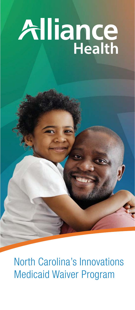# Alliance

North Carolina's Innovations Medicaid Waiver Program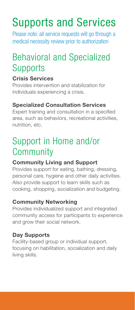## Supports and Services

Please note: all service requests will go through a medical necessity review prior to authorization

## Behavioral and Specialized **Supports**

#### Crisis Services

Provides intervention and stabilization for individuals experiencing a crisis.

#### Specialized Consultation Services

Expert training and consultation in a specified area, such as behaviors, recreational activities, nutrition, etc.

## Support in Home and/or **Community**

#### Community Living and Support

Provides support for eating, bathing, dressing, personal care, hygiene and other daily activities. Also provide support to learn skills such as cooking, shopping, socialization and budgeting.

#### Community Networking

Provides individualized support and integrated community access for participants to experience and grow their social network.

#### Day Supports

Facility-based group or individual support, focusing on habilitation, socialization and daily living skills.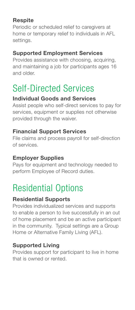#### **Respite**

Periodic or scheduled relief to caregivers at home or temporary relief to individuals in AFL settings.

#### Supported Employment Services

Provides assistance with choosing, acquiring, and maintaining a job for participants ages 16 and older.

### Self-Directed Services

#### Individual Goods and Services

Assist people who self-direct services to pay for services, equipment or supplies not otherwise provided through the waiver.

#### Financial Support Services

File claims and process payroll for self-direction of services.

#### Employer Supplies

Pays for equipment and technology needed to perform Employee of Record duties.

## Residential Options

#### Residential Supports

Provides individualized services and supports to enable a person to live successfully in an out of home placement and be an active participant in the community. Typical settings are a Group Home or Alternative Family Living (AFL).

#### Supported Living

Provides support for participant to live in home that is owned or rented.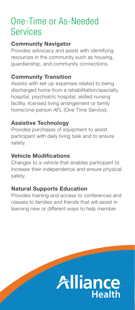## One-Time or As-Needed Services

#### Community Navigator

Provides advocacy and assist with identifying resources in the community such as housing, guardianship, and community connections.

#### Community Transition

Assists with set-up expenses related to being discharged home from a rehabilitation/specialty hospital, psychiatric hospital, skilled nursing facility, licensed living arrangement or family home/one-person AFL (One Time Service).

#### Assistive Technology

Provides purchases of equipment to assist participant with daily living task and to ensure safety.

#### Vehicle Modifications

Changes to a vehicle that enables participant to increase their independence and ensure physical safety.

#### Natural Supports Education

Provides training and access to conferences and classes to families and friends that will assist in learning new or different ways to help member.

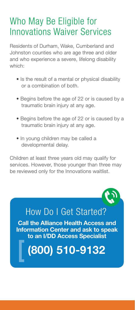## Who May Be Eligible for Innovations Waiver Services

Residents of Durham, Wake, Cumberland and Johnston counties who are age three and older and who experience a severe, lifelong disability which:

- Is the result of a mental or physical disability or a combination of both.
- Begins before the age of 22 or is caused by a traumatic brain injury at any age.
- Begins before the age of 22 or is caused by a traumatic brain injury at any age.
- In young children may be called a developmental delay.

Children at least three years old may qualify for services. However, those younger than three may be reviewed only for the Innovations waitlist.